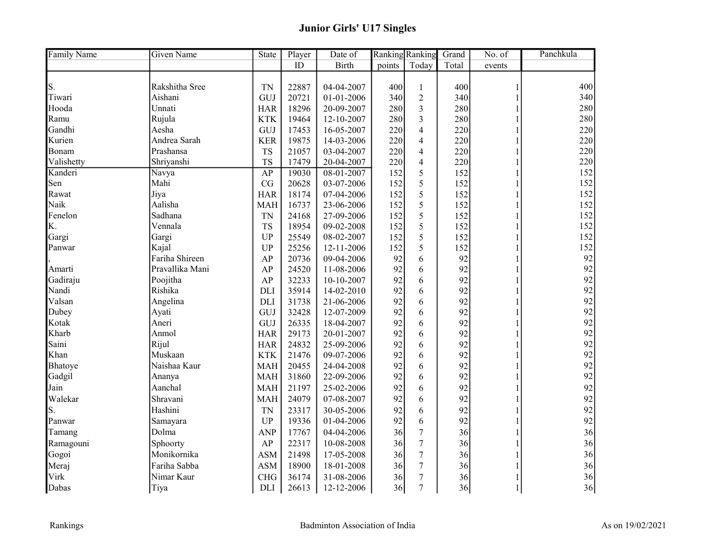| <b>Family Name</b> | <b>Given Name</b><br>State<br>Player<br>Date of<br><b>Ranking Ranking</b> |            |               | Grand        | No. of | Panchkula      |       |              |     |
|--------------------|---------------------------------------------------------------------------|------------|---------------|--------------|--------|----------------|-------|--------------|-----|
|                    |                                                                           |            | $\mathbf{ID}$ | <b>Birth</b> | points | Today          | Total | events       |     |
|                    |                                                                           |            |               |              |        |                |       |              |     |
| S.                 | Rakshitha Sree                                                            | <b>TN</b>  | 22887         | 04-04-2007   | 400    | $\mathbf{1}$   | 400   |              | 400 |
| Tiwari             | Aishani                                                                   | GUJ        | 20721         | 01-01-2006   | 340    | $\sqrt{2}$     | 340   |              | 340 |
| Hooda              | Unnati                                                                    | <b>HAR</b> | 18296         | 20-09-2007   | 280    | 3              | 280   |              | 280 |
| Ramu               | Rujula                                                                    | <b>KTK</b> | 19464         | 12-10-2007   | 280    | $\overline{3}$ | 280   |              | 280 |
| Gandhi             | Aesha                                                                     | GUJ        | 17453         | 16-05-2007   | 220    | $\overline{4}$ | 220   |              | 220 |
| Kurien             | Andrea Sarah                                                              | <b>KER</b> | 19875         | 14-03-2006   | 220    | $\overline{4}$ | 220   |              | 220 |
| Bonam              | Prashansa                                                                 | <b>TS</b>  | 21057         | 03-04-2007   | 220    | $\overline{4}$ | 220   |              | 220 |
| Valishetty         | Shriyanshi                                                                | <b>TS</b>  | 17479         | 20-04-2007   | 220    | $\overline{4}$ | 220   |              | 220 |
| Kanderi            | Navya                                                                     | AP         | 19030         | 08-01-2007   | 152    | 5              | 152   |              | 152 |
| Sen                | Mahi                                                                      | CG         | 20628         | 03-07-2006   | 152    | 5              | 152   |              | 152 |
| Rawat              | Jiya                                                                      | <b>HAR</b> | 18174         | 07-04-2006   | 152    | 5              | 152   |              | 152 |
| Naik               | Aalisha                                                                   | <b>MAH</b> | 16737         | 23-06-2006   | 152    | 5              | 152   |              | 152 |
| Fenelon            | Sadhana                                                                   | <b>TN</b>  | 24168         | 27-09-2006   | 152    | 5              | 152   |              | 152 |
| K.                 | Vennala                                                                   | <b>TS</b>  | 18954         | 09-02-2008   | 152    | 5              | 152   |              | 152 |
| Gargi              | Gargi                                                                     | <b>UP</b>  | 25549         | 08-02-2007   | 152    | 5              | 152   |              | 152 |
| Panwar             | Kajal                                                                     | <b>UP</b>  | 25256         | 12-11-2006   | 152    | 5              | 152   |              | 152 |
|                    | Fariha Shireen                                                            | AP         | 20736         | 09-04-2006   | 92     | 6              | 92    |              | 92  |
| Amarti             | Pravallika Mani                                                           | AP         | 24520         | 11-08-2006   | 92     | 6              | 92    |              | 92  |
| Gadiraju           | Poojitha                                                                  | AP         | 32233         | 10-10-2007   | 92     | 6              | 92    |              | 92  |
| Nandi              | Rishika                                                                   | <b>DLI</b> | 35914         | 14-02-2010   | 92     | 6              | 92    |              | 92  |
| Valsan             | Angelina                                                                  | <b>DLI</b> | 31738         | 21-06-2006   | 92     | 6              | 92    |              | 92  |
| Dubey              | Ayati                                                                     | GUJ        | 32428         | 12-07-2009   | 92     | 6              | 92    |              | 92  |
| Kotak              | Aneri                                                                     | GUJ        | 26335         | 18-04-2007   | 92     | 6              | 92    |              | 92  |
| Kharb              | Anmol                                                                     | <b>HAR</b> | 29173         | 20-01-2007   | 92     | 6              | 92    |              | 92  |
| Saini              | Rijul                                                                     | <b>HAR</b> | 24832         | 25-09-2006   | 92     | 6              | 92    |              | 92  |
| Khan               | Muskaan                                                                   | <b>KTK</b> | 21476         | 09-07-2006   | 92     | 6              | 92    |              | 92  |
| Bhatoye            | Naishaa Kaur                                                              | <b>MAH</b> | 20455         | 24-04-2008   | 92     | 6              | 92    |              | 92  |
| Gadgil             | Ananya                                                                    | <b>MAH</b> | 31860         | 22-09-2006   | 92     | 6              | 92    |              | 92  |
| Jain               | Aanchal                                                                   | <b>MAH</b> | 21197         | 25-02-2006   | 92     | 6              | 92    | 1            | 92  |
| Walekar            | Shravani                                                                  | <b>MAH</b> | 24079         | 07-08-2007   | 92     | 6              | 92    |              | 92  |
| S.                 | Hashini                                                                   | <b>TN</b>  | 23317         | 30-05-2006   | 92     | 6              | 92    |              | 92  |
| Panwar             | Samayara                                                                  | <b>UP</b>  | 19336         | 01-04-2006   | 92     | 6              | 92    |              | 92  |
| Tamang             | Dolma                                                                     | <b>ANP</b> | 17767         | 04-04-2006   | 36     | $\overline{7}$ | 36    |              | 36  |
| Ramagouni          | Sphoorty                                                                  | AP         | 22317         | 10-08-2008   | 36     | $\overline{7}$ | 36    |              | 36  |
| Gogoi              | Monikornika                                                               | <b>ASM</b> | 21498         | 17-05-2008   | 36     | 7              | 36    |              | 36  |
| Meraj              | Fariha Sabba                                                              | <b>ASM</b> | 18900         | 18-01-2008   | 36     | $\overline{7}$ | 36    |              | 36  |
| Virk               | Nimar Kaur                                                                | <b>CHG</b> | 36174         | 31-08-2006   | 36     | $\overline{7}$ | 36    | 1            | 36  |
| Dabas              | Tiya                                                                      | <b>DLI</b> | 26613         | 12-12-2006   | 36     | $\overline{7}$ | 36    | $\mathbf{1}$ | 36  |